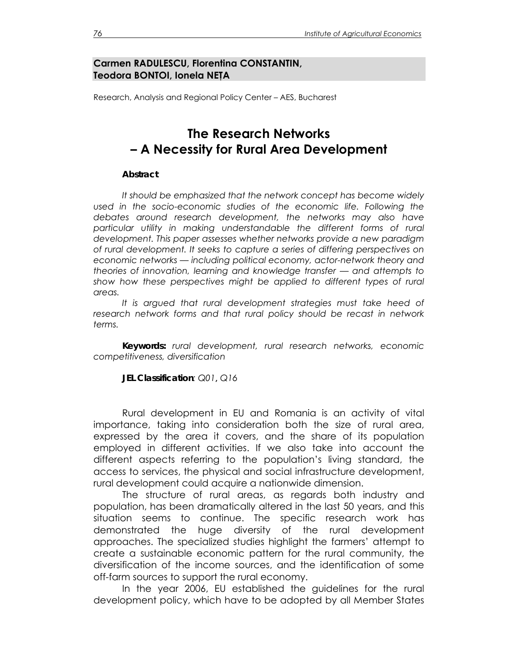### **Carmen RADULESCU, Florentina CONSTANTIN, Teodora BONTOI, Ionela NEŢA**

Research, Analysis and Regional Policy Center – AES, Bucharest

# **The Research Networks – A Necessity for Rural Area Development**

#### *Abstract*

*It should be emphasized that the network concept has become widely used in the socio-economic studies of the economic life. Following the debates around research development, the networks may also have*  particular utility in making understandable the different forms of rural *development. This paper assesses whether networks provide a new paradigm of rural development. It seeks to capture a series of differing perspectives on economic networks — including political economy, actor-network theory and theories of innovation, learning and knowledge transfer — and attempts to*  show how these perspectives might be applied to different types of rural *areas.* 

*It is argued that rural development strategies must take heed of*  research network forms and that rural policy should be recast in network *terms.* 

*Keywords: rural development, rural research networks, economic competitiveness, diversification* 

*JEL Classification: Q01***,** *Q16* 

 Rural development in EU and Romania is an activity of vital importance, taking into consideration both the size of rural area, expressed by the area it covers, and the share of its population employed in different activities. If we also take into account the different aspects referring to the population's living standard, the access to services, the physical and social infrastructure development, rural development could acquire a nationwide dimension.

 The structure of rural areas, as regards both industry and population, has been dramatically altered in the last 50 years, and this situation seems to continue. The specific research work has demonstrated the huge diversity of the rural development approaches. The specialized studies highlight the farmers' attempt to create a sustainable economic pattern for the rural community, the diversification of the income sources, and the identification of some off-farm sources to support the rural economy.

 In the year 2006, EU established the guidelines for the rural development policy, which have to be adopted by all Member States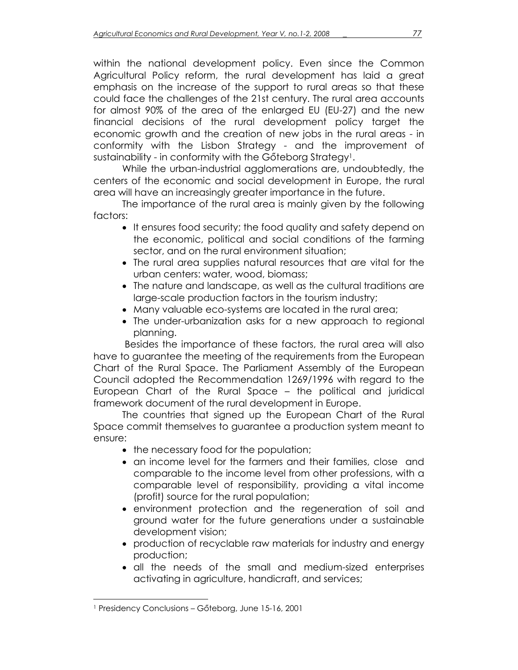within the national development policy. Even since the Common Agricultural Policy reform, the rural development has laid a great emphasis on the increase of the support to rural areas so that these could face the challenges of the 21st century. The rural area accounts for almost 90% of the area of the enlarged EU (EU-27) and the new financial decisions of the rural development policy target the economic growth and the creation of new jobs in the rural areas - in conformity with the Lisbon Strategy - and the improvement of sustainability - in conformity with the Gőteborg Strategy<sup>1</sup>.

 While the urban-industrial agglomerations are, undoubtedly, the centers of the economic and social development in Europe, the rural area will have an increasingly greater importance in the future.

The importance of the rural area is mainly given by the following factors:

- It ensures food security; the food quality and safety depend on the economic, political and social conditions of the farming sector, and on the rural environment situation;
- The rural area supplies natural resources that are vital for the urban centers: water, wood, biomass;
- The nature and landscape, as well as the cultural traditions are large-scale production factors in the tourism industry;
- Many valuable eco-systems are located in the rural area;
- The under-urbanization asks for a new approach to regional planning.

 Besides the importance of these factors, the rural area will also have to guarantee the meeting of the requirements from the European Chart of the Rural Space. The Parliament Assembly of the European Council adopted the Recommendation 1269/1996 with regard to the European Chart of the Rural Space – the political and juridical framework document of the rural development in Europe.

 The countries that signed up the European Chart of the Rural Space commit themselves to guarantee a production system meant to ensure:

- the necessary food for the population;
- an income level for the farmers and their families, close and comparable to the income level from other professions, with a comparable level of responsibility, providing a vital income (profit) source for the rural population;
- environment protection and the regeneration of soil and ground water for the future generations under a sustainable development vision;
- production of recyclable raw materials for industry and energy production;
- all the needs of the small and medium-sized enterprises activating in agriculture, handicraft, and services;

l

<sup>1</sup> Presidency Conclusions – Gőteborg, June 15-16, 2001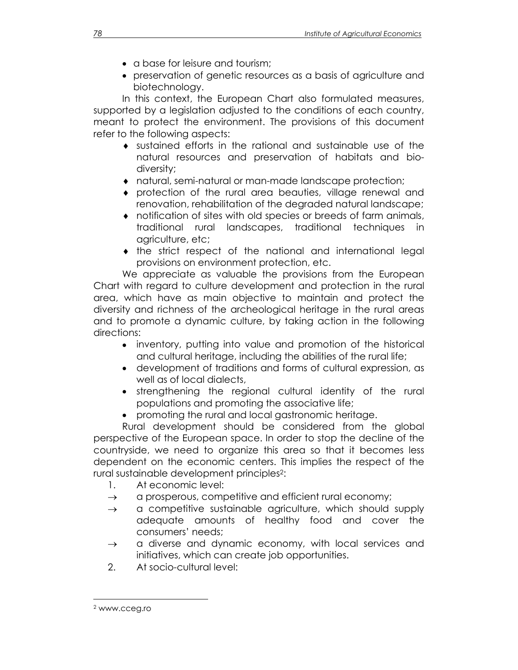- a base for leisure and tourism;
- preservation of genetic resources as a basis of agriculture and biotechnology.

 In this context, the European Chart also formulated measures, supported by a legislation adjusted to the conditions of each country, meant to protect the environment. The provisions of this document refer to the following aspects:

- ♦ sustained efforts in the rational and sustainable use of the natural resources and preservation of habitats and biodiversity;
- ♦ natural, semi-natural or man-made landscape protection;
- ♦ protection of the rural area beauties, village renewal and renovation, rehabilitation of the degraded natural landscape;
- ♦ notification of sites with old species or breeds of farm animals, traditional rural landscapes, traditional techniques in agriculture, etc;
- ♦ the strict respect of the national and international legal provisions on environment protection, etc.

 We appreciate as valuable the provisions from the European Chart with regard to culture development and protection in the rural area, which have as main objective to maintain and protect the diversity and richness of the archeological heritage in the rural areas and to promote a dynamic culture, by taking action in the following directions:

- inventory, putting into value and promotion of the historical and cultural heritage, including the abilities of the rural life;
- development of traditions and forms of cultural expression, as well as of local dialects,
- strengthening the regional cultural identity of the rural populations and promoting the associative life;
- promoting the rural and local gastronomic heritage.

 Rural development should be considered from the global perspective of the European space. In order to stop the decline of the countryside, we need to organize this area so that it becomes less dependent on the economic centers. This implies the respect of the rural sustainable development principles2:

- 1. At economic level:
- $\rightarrow$  a prosperous, competitive and efficient rural economy;
- $\rightarrow$  a competitive sustainable agriculture, which should supply adequate amounts of healthy food and cover the consumers' needs;
- $\rightarrow$  a diverse and dynamic economy, with local services and initiatives, which can create job opportunities.
- 2. At socio-cultural level:

l

<sup>2</sup> www.cceg.ro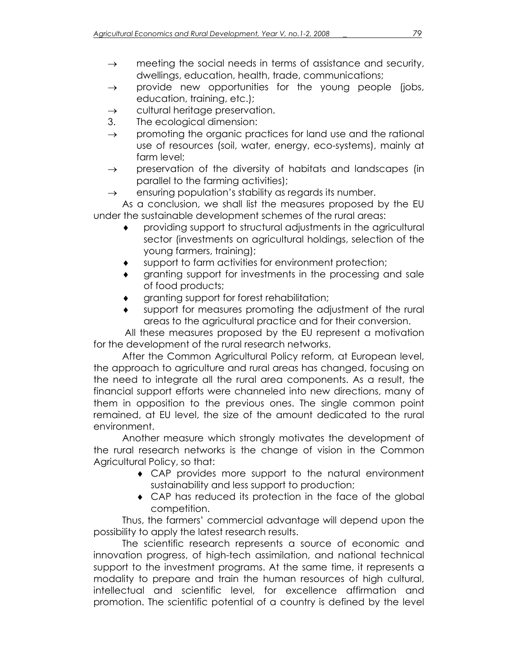- $\rightarrow$  meeting the social needs in terms of assistance and security, dwellings, education, health, trade, communications;
- $\rightarrow$  provide new opportunities for the young people (jobs, education, training, etc.);
- $\rightarrow$  cultural heritage preservation.
- 3. The ecological dimension:
- $\rightarrow$  promoting the organic practices for land use and the rational use of resources (soil, water, energy, eco-systems), mainly at farm level;
- $\rightarrow$  preservation of the diversity of habitats and landscapes (in parallel to the farming activities);
- $\rightarrow$  ensuring population's stability as regards its number.

 As a conclusion, we shall list the measures proposed by the EU under the sustainable development schemes of the rural areas:

- ♦ providing support to structural adjustments in the agricultural sector (investments on agricultural holdings, selection of the young farmers, training);
- support to farm activities for environment protection;
- granting support for investments in the processing and sale of food products;
- granting support for forest rehabilitation;
- support for measures promoting the adjustment of the rural areas to the agricultural practice and for their conversion.

 All these measures proposed by the EU represent a motivation for the development of the rural research networks.

 After the Common Agricultural Policy reform, at European level, the approach to agriculture and rural areas has changed, focusing on the need to integrate all the rural area components. As a result, the financial support efforts were channeled into new directions, many of them in opposition to the previous ones. The single common point remained, at EU level, the size of the amount dedicated to the rural environment.

 Another measure which strongly motivates the development of the rural research networks is the change of vision in the Common Agricultural Policy, so that:

- ♦ CAP provides more support to the natural environment sustainability and less support to production;
- ♦ CAP has reduced its protection in the face of the global competition.

 Thus, the farmers' commercial advantage will depend upon the possibility to apply the latest research results.

 The scientific research represents a source of economic and innovation progress, of high-tech assimilation, and national technical support to the investment programs. At the same time, it represents a modality to prepare and train the human resources of high cultural, intellectual and scientific level, for excellence affirmation and promotion. The scientific potential of a country is defined by the level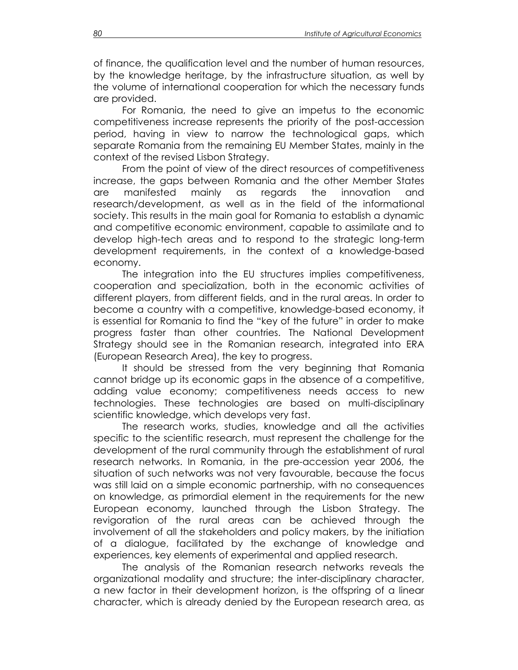of finance, the qualification level and the number of human resources, by the knowledge heritage, by the infrastructure situation, as well by the volume of international cooperation for which the necessary funds are provided.

 For Romania, the need to give an impetus to the economic competitiveness increase represents the priority of the post-accession period, having in view to narrow the technological gaps, which separate Romania from the remaining EU Member States, mainly in the context of the revised Lisbon Strategy.

 From the point of view of the direct resources of competitiveness increase, the gaps between Romania and the other Member States are manifested mainly as regards the innovation and research/development, as well as in the field of the informational society. This results in the main goal for Romania to establish a dynamic and competitive economic environment, capable to assimilate and to develop high-tech areas and to respond to the strategic long-term development requirements, in the context of a knowledge-based economy.

 The integration into the EU structures implies competitiveness, cooperation and specialization, both in the economic activities of different players, from different fields, and in the rural areas. In order to become a country with a competitive, knowledge-based economy, it is essential for Romania to find the "key of the future" in order to make progress faster than other countries. The National Development Strategy should see in the Romanian research, integrated into ERA (European Research Area), the key to progress.

 It should be stressed from the very beginning that Romania cannot bridge up its economic gaps in the absence of a competitive, adding value economy; competitiveness needs access to new technologies. These technologies are based on multi-disciplinary scientific knowledge, which develops very fast.

 The research works, studies, knowledge and all the activities specific to the scientific research, must represent the challenge for the development of the rural community through the establishment of rural research networks. In Romania, in the pre-accession year 2006, the situation of such networks was not very favourable, because the focus was still laid on a simple economic partnership, with no consequences on knowledge, as primordial element in the requirements for the new European economy, launched through the Lisbon Strategy. The revigoration of the rural areas can be achieved through the involvement of all the stakeholders and policy makers, by the initiation of a dialogue, facilitated by the exchange of knowledge and experiences, key elements of experimental and applied research.

 The analysis of the Romanian research networks reveals the organizational modality and structure; the inter-disciplinary character, a new factor in their development horizon, is the offspring of a linear character, which is already denied by the European research area, as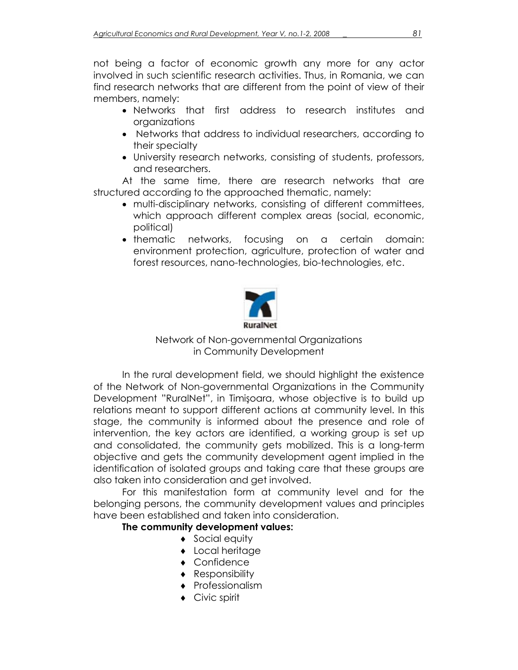not being a factor of economic growth any more for any actor involved in such scientific research activities. Thus, in Romania, we can find research networks that are different from the point of view of their members, namely:

- Networks that first address to research institutes and organizations
- Networks that address to individual researchers, according to their specialty
- University research networks, consisting of students, professors, and researchers.

 At the same time, there are research networks that are structured according to the approached thematic, namely:

- multi-disciplinary networks, consisting of different committees, which approach different complex areas (social, economic, political)
- thematic networks, focusing on a certain domain: environment protection, agriculture, protection of water and forest resources, nano-technologies, bio-technologies, etc.



Network of Non-governmental Organizations in Community Development

 In the rural development field, we should highlight the existence of the Network of Non-governmental Organizations in the Community Development "RuralNet", in Timişoara, whose objective is to build up relations meant to support different actions at community level. In this stage, the community is informed about the presence and role of intervention, the key actors are identified, a working group is set up and consolidated, the community gets mobilized. This is a long-term objective and gets the community development agent implied in the identification of isolated groups and taking care that these groups are also taken into consideration and get involved.

 For this manifestation form at community level and for the belonging persons, the community development values and principles have been established and taken into consideration.

## **The community development values:**

- ◆ Social equity
- ♦ Local heritage
- ♦ Confidence
- ♦ Responsibility
- ♦ Professionalism
- ♦ Civic spirit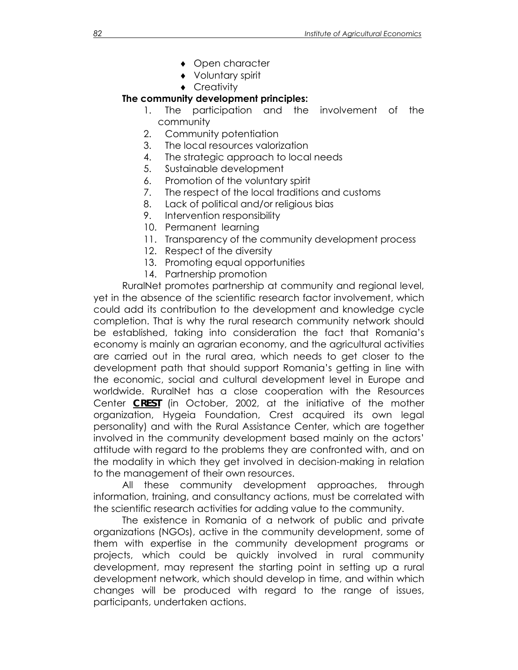- ♦ Open character
- ♦ Voluntary spirit
- ♦ Creativity

## **The community development principles:**

- 1. The participation and the involvement of the community
- 2. Community potentiation
- 3. The local resources valorization
- 4. The strategic approach to local needs
- 5. Sustainable development
- 6. Promotion of the voluntary spirit
- 7. The respect of the local traditions and customs
- 8. Lack of political and/or religious bias
- 9. Intervention responsibility
- 10. Permanent learning
- 11. Transparency of the community development process
- 12. Respect of the diversity
- 13. Promoting equal opportunities
- 14. Partnership promotion

RuralNet promotes partnership at community and regional level, yet in the absence of the scientific research factor involvement, which could add its contribution to the development and knowledge cycle completion. That is why the rural research community network should be established, taking into consideration the fact that Romania's economy is mainly an agrarian economy, and the agricultural activities are carried out in the rural area, which needs to get closer to the development path that should support Romania's getting in line with the economic, social and cultural development level in Europe and worldwide. RuralNet has a close cooperation with the Resources Center *CREST* (in October, 2002, at the initiative of the mother organization, Hygeia Foundation, Crest acquired its own legal personality) and with the Rural Assistance Center, which are together involved in the community development based mainly on the actors' attitude with regard to the problems they are confronted with, and on the modality in which they get involved in decision-making in relation to the management of their own resources.

All these community development approaches, through information, training, and consultancy actions, must be correlated with the scientific research activities for adding value to the community.

 The existence in Romania of a network of public and private organizations (NGOs), active in the community development, some of them with expertise in the community development programs or projects, which could be quickly involved in rural community development, may represent the starting point in setting up a rural development network, which should develop in time, and within which changes will be produced with regard to the range of issues, participants, undertaken actions.